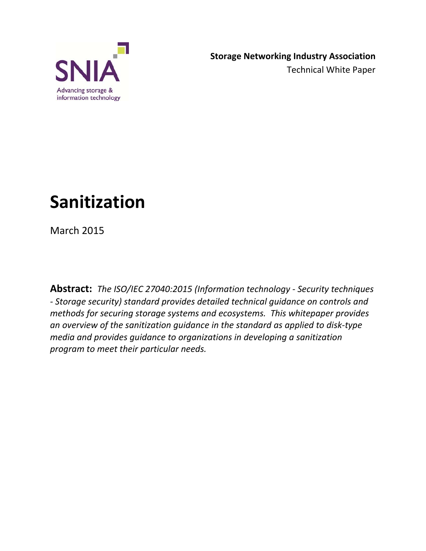

# **Sanitization**

March 2015

**Abstract:** *The ISO/IEC 27040:2015 (Information technology - Security techniques - Storage security) standard provides detailed technical guidance on controls and methods for securing storage systems and ecosystems. This whitepaper provides an overview of the sanitization guidance in the standard as applied to disk-type media and provides guidance to organizations in developing a sanitization program to meet their particular needs.*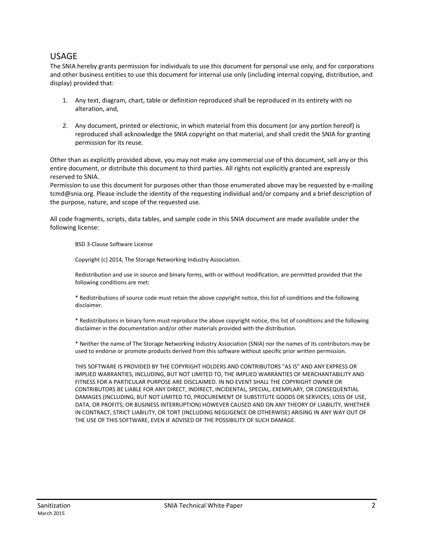#### USAGE

The SNIA hereby grants permission for individuals to use this document for personal use only, and for corporations and other business entities to use this document for internal use only (including internal copying, distribution, and display) provided that:

- 1. Any text, diagram, chart, table or definition reproduced shall be reproduced in its entirety with no alteration, and,
- 2. Any document, printed or electronic, in which material from this document (or any portion hereof) is reproduced shall acknowledge the SNIA copyright on that material, and shall credit the SNIA for granting permission for its reuse.

Other than as explicitly provided above, you may not make any commercial use of this document, sell any or this entire document, or distribute this document to third parties. All rights not explicitly granted are expressly reserved to SNIA.

Permission to use this document for purposes other than those enumerated above may be requested by e-mailing tcmd@snia.org. Please include the identity of the requesting individual and/or company and a brief description of the purpose, nature, and scope of the requested use.

All code fragments, scripts, data tables, and sample code in this SNIA document are made available under the following license:

BSD 3-Clause Software License

Copyright (c) 2014, The Storage Networking Industry Association.

Redistribution and use in source and binary forms, with or without modification, are permitted provided that the following conditions are met:

\* Redistributions of source code must retain the above copyright notice, this list of conditions and the following disclaimer.

\* Redistributions in binary form must reproduce the above copyright notice, this list of conditions and the following disclaimer in the documentation and/or other materials provided with the distribution.

\* Neither the name of The Storage Networking Industry Association (SNIA) nor the names of its contributors may be used to endorse or promote products derived from this software without specific prior written permission.

THIS SOFTWARE IS PROVIDED BY THE COPYRIGHT HOLDERS AND CONTRIBUTORS "AS IS" AND ANY EXPRESS OR IMPLIED WARRANTIES, INCLUDING, BUT NOT LIMITED TO, THE IMPLIED WARRANTIES OF MERCHANTABILITY AND FITNESS FOR A PARTICULAR PURPOSE ARE DISCLAIMED. IN NO EVENT SHALL THE COPYRIGHT OWNER OR CONTRIBUTORS BE LIABLE FOR ANY DIRECT, INDIRECT, INCIDENTAL, SPECIAL, EXEMPLARY, OR CONSEQUENTIAL DAMAGES (INCLUDING, BUT NOT LIMITED TO, PROCUREMENT OF SUBSTITUTE GOODS OR SERVICES; LOSS OF USE, DATA, OR PROFITS; OR BUSINESS INTERRUPTION) HOWEVER CAUSED AND ON ANY THEORY OF LIABILITY, WHETHER IN CONTRACT, STRICT LIABILITY, OR TORT (INCLUDING NEGLIGENCE OR OTHERWISE) ARISING IN ANY WAY OUT OF THE USE OF THIS SOFTWARE, EVEN IF ADVISED OF THE POSSIBILITY OF SUCH DAMAGE.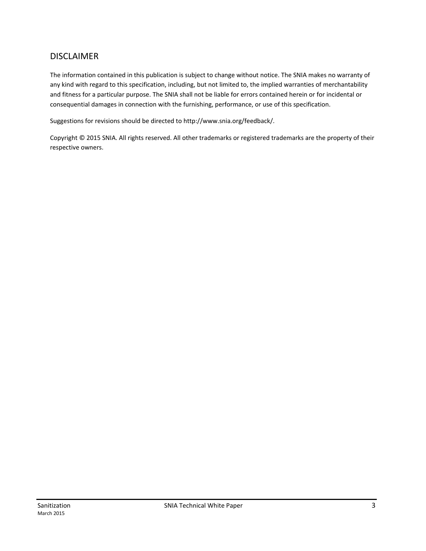#### DISCLAIMER

The information contained in this publication is subject to change without notice. The SNIA makes no warranty of any kind with regard to this specification, including, but not limited to, the implied warranties of merchantability and fitness for a particular purpose. The SNIA shall not be liable for errors contained herein or for incidental or consequential damages in connection with the furnishing, performance, or use of this specification.

Suggestions for revisions should be directed to http://www.snia.org/feedback/.

Copyright © 2015 SNIA. All rights reserved. All other trademarks or registered trademarks are the property of their respective owners.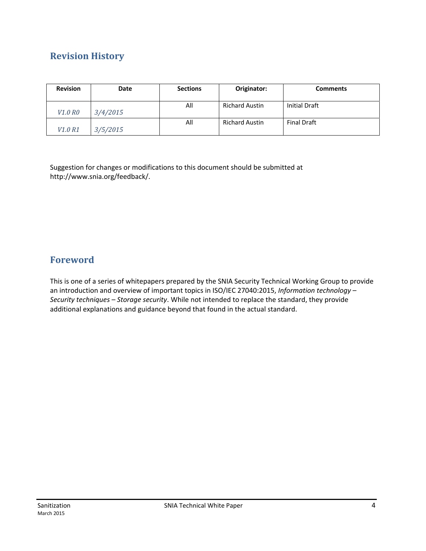## **Revision History**

| <b>Revision</b>                 | Date     | <b>Sections</b> | Originator:           | <b>Comments</b>    |
|---------------------------------|----------|-----------------|-----------------------|--------------------|
|                                 |          |                 |                       |                    |
|                                 |          | All             | <b>Richard Austin</b> | Initial Draft      |
| <i>V1.0 R0</i>                  | 3/4/2015 |                 |                       |                    |
|                                 |          | All             | <b>Richard Austin</b> | <b>Final Draft</b> |
| V <sub>1.0</sub> R <sub>1</sub> | 3/5/2015 |                 |                       |                    |

Suggestion for changes or modifications to this document should be submitted at http://www.snia.org/feedback/.

## **Foreword**

This is one of a series of whitepapers prepared by the SNIA Security Technical Working Group to provide an introduction and overview of important topics in ISO/IEC 27040:2015, *Information technology – Security techniques – Storage security*. While not intended to replace the standard, they provide additional explanations and guidance beyond that found in the actual standard.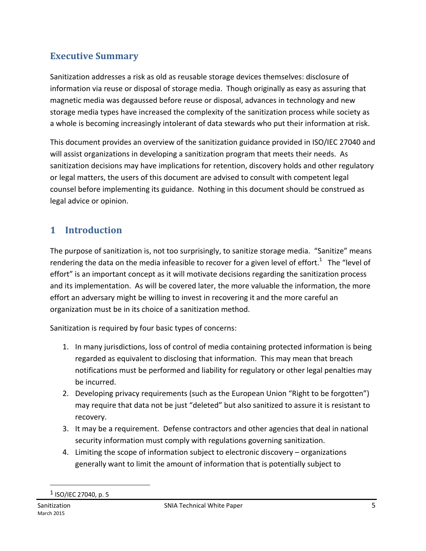## **Executive Summary**

Sanitization addresses a risk as old as reusable storage devices themselves: disclosure of information via reuse or disposal of storage media. Though originally as easy as assuring that magnetic media was degaussed before reuse or disposal, advances in technology and new storage media types have increased the complexity of the sanitization process while society as a whole is becoming increasingly intolerant of data stewards who put their information at risk.

This document provides an overview of the sanitization guidance provided in ISO/IEC 27040 and will assist organizations in developing a sanitization program that meets their needs. As sanitization decisions may have implications for retention, discovery holds and other regulatory or legal matters, the users of this document are advised to consult with competent legal counsel before implementing its guidance. Nothing in this document should be construed as legal advice or opinion.

## **1 Introduction**

The purpose of sanitization is, not too surprisingly, to sanitize storage media. "Sanitize" means rendering the data on the media infeasible to recover for a given level of effort.<sup>1</sup> The "level of effort" is an important concept as it will motivate decisions regarding the sanitization process and its implementation. As will be covered later, the more valuable the information, the more effort an adversary might be willing to invest in recovering it and the more careful an organization must be in its choice of a sanitization method.

Sanitization is required by four basic types of concerns:

- 1. In many jurisdictions, loss of control of media containing protected information is being regarded as equivalent to disclosing that information. This may mean that breach notifications must be performed and liability for regulatory or other legal penalties may be incurred.
- 2. Developing privacy requirements (such as the European Union "Right to be forgotten") may require that data not be just "deleted" but also sanitized to assure it is resistant to recovery.
- 3. It may be a requirement. Defense contractors and other agencies that deal in national security information must comply with regulations governing sanitization.
- 4. Limiting the scope of information subject to electronic discovery organizations generally want to limit the amount of information that is potentially subject to

 $\overline{a}$ 

<sup>1</sup> ISO/IEC 27040, p. 5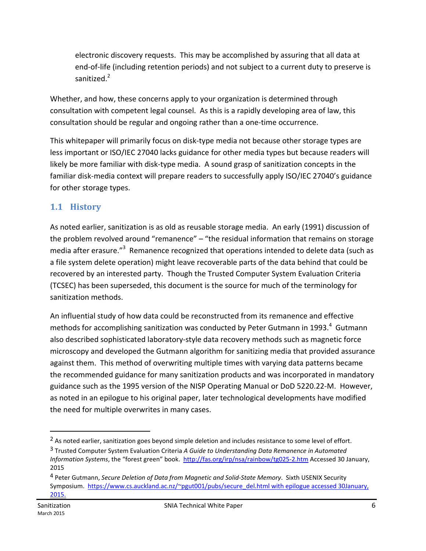electronic discovery requests. This may be accomplished by assuring that all data at end-of-life (including retention periods) and not subject to a current duty to preserve is sanitized. $2$ 

Whether, and how, these concerns apply to your organization is determined through consultation with competent legal counsel. As this is a rapidly developing area of law, this consultation should be regular and ongoing rather than a one-time occurrence.

This whitepaper will primarily focus on disk-type media not because other storage types are less important or ISO/IEC 27040 lacks guidance for other media types but because readers will likely be more familiar with disk-type media. A sound grasp of sanitization concepts in the familiar disk-media context will prepare readers to successfully apply ISO/IEC 27040's guidance for other storage types.

## **1.1 History**

As noted earlier, sanitization is as old as reusable storage media. An early (1991) discussion of the problem revolved around "remanence" – "the residual information that remains on storage media after erasure."<sup>3</sup> Remanence recognized that operations intended to delete data (such as a file system delete operation) might leave recoverable parts of the data behind that could be recovered by an interested party. Though the Trusted Computer System Evaluation Criteria (TCSEC) has been superseded, this document is the source for much of the terminology for sanitization methods.

An influential study of how data could be reconstructed from its remanence and effective methods for accomplishing sanitization was conducted by Peter Gutmann in 1993. $4$  Gutmann also described sophisticated laboratory-style data recovery methods such as magnetic force microscopy and developed the Gutmann algorithm for sanitizing media that provided assurance against them. This method of overwriting multiple times with varying data patterns became the recommended guidance for many sanitization products and was incorporated in mandatory guidance such as the 1995 version of the NISP Operating Manual or DoD 5220.22-M. However, as noted in an epilogue to his original paper, later technological developments have modified the need for multiple overwrites in many cases.

<sup>&</sup>lt;sup>2</sup> As noted earlier, sanitization goes beyond simple deletion and includes resistance to some level of effort.

<sup>3</sup> Trusted Computer System Evaluation Criteria *A Guide to Understanding Data Remanence in Automated Information Systems*, the "forest green" book. http://fas.org/irp/nsa/rainbow/tg025-2.htm Accessed 30 January, 2015

<sup>4</sup> Peter Gutmann, *Secure Deletion of Data from Magnetic and Solid-State Memory*. Sixth USENIX Security Symposium. https://www.cs.auckland.ac.nz/~pgut001/pubs/secure\_del.html with epilogue accessed 30January, 2015.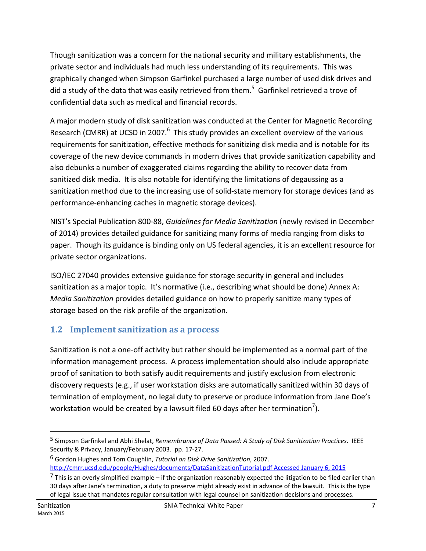Though sanitization was a concern for the national security and military establishments, the private sector and individuals had much less understanding of its requirements. This was graphically changed when Simpson Garfinkel purchased a large number of used disk drives and did a study of the data that was easily retrieved from them.<sup>5</sup> Garfinkel retrieved a trove of confidential data such as medical and financial records.

A major modern study of disk sanitization was conducted at the Center for Magnetic Recording Research (CMRR) at UCSD in 2007. $^6$  This study provides an excellent overview of the various requirements for sanitization, effective methods for sanitizing disk media and is notable for its coverage of the new device commands in modern drives that provide sanitization capability and also debunks a number of exaggerated claims regarding the ability to recover data from sanitized disk media. It is also notable for identifying the limitations of degaussing as a sanitization method due to the increasing use of solid-state memory for storage devices (and as performance-enhancing caches in magnetic storage devices).

NIST's Special Publication 800-88, *Guidelines for Media Sanitization* (newly revised in December of 2014) provides detailed guidance for sanitizing many forms of media ranging from disks to paper. Though its guidance is binding only on US federal agencies, it is an excellent resource for private sector organizations.

ISO/IEC 27040 provides extensive guidance for storage security in general and includes sanitization as a major topic. It's normative (i.e., describing what should be done) Annex A: *Media Sanitization* provides detailed guidance on how to properly sanitize many types of storage based on the risk profile of the organization.

## **1.2 Implement sanitization as a process**

Sanitization is not a one-off activity but rather should be implemented as a normal part of the information management process. A process implementation should also include appropriate proof of sanitation to both satisfy audit requirements and justify exclusion from electronic discovery requests (e.g., if user workstation disks are automatically sanitized within 30 days of termination of employment, no legal duty to preserve or produce information from Jane Doe's workstation would be created by a lawsuit filed 60 days after her termination<sup>7</sup>).

<sup>5</sup> Simpson Garfinkel and Abhi Shelat, *Remembrance of Data Passed: A Study of Disk Sanitization Practices*. IEEE Security & Privacy, January/February 2003. pp. 17-27.

<sup>6</sup> Gordon Hughes and Tom Coughlin, *Tutorial on Disk Drive Sanitization*, 2007. http://cmrr.ucsd.edu/people/Hughes/documents/DataSanitizationTutorial.pdf Accessed January 6, 2015

 $<sup>7</sup>$  This is an overly simplified example – if the organization reasonably expected the litigation to be filed earlier than</sup> 30 days after Jane's termination, a duty to preserve might already exist in advance of the lawsuit. This is the type of legal issue that mandates regular consultation with legal counsel on sanitization decisions and processes.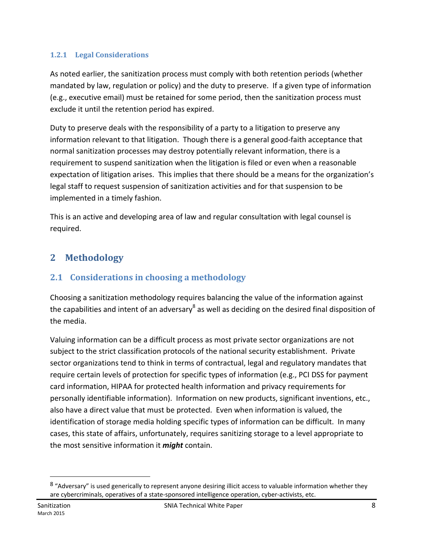#### **1.2.1 Legal Considerations**

As noted earlier, the sanitization process must comply with both retention periods (whether mandated by law, regulation or policy) and the duty to preserve. If a given type of information (e.g., executive email) must be retained for some period, then the sanitization process must exclude it until the retention period has expired.

Duty to preserve deals with the responsibility of a party to a litigation to preserve any information relevant to that litigation. Though there is a general good-faith acceptance that normal sanitization processes may destroy potentially relevant information, there is a requirement to suspend sanitization when the litigation is filed or even when a reasonable expectation of litigation arises. This implies that there should be a means for the organization's legal staff to request suspension of sanitization activities and for that suspension to be implemented in a timely fashion.

This is an active and developing area of law and regular consultation with legal counsel is required.

# **2 Methodology**

## **2.1 Considerations in choosing a methodology**

Choosing a sanitization methodology requires balancing the value of the information against the capabilities and intent of an adversary $^8$  as well as deciding on the desired final disposition of the media.

Valuing information can be a difficult process as most private sector organizations are not subject to the strict classification protocols of the national security establishment. Private sector organizations tend to think in terms of contractual, legal and regulatory mandates that require certain levels of protection for specific types of information (e.g., PCI DSS for payment card information, HIPAA for protected health information and privacy requirements for personally identifiable information). Information on new products, significant inventions, etc., also have a direct value that must be protected. Even when information is valued, the identification of storage media holding specific types of information can be difficult. In many cases, this state of affairs, unfortunately, requires sanitizing storage to a level appropriate to the most sensitive information it *might* contain.

<sup>8 &</sup>quot;Adversary" is used generically to represent anyone desiring illicit access to valuable information whether they are cybercriminals, operatives of a state-sponsored intelligence operation, cyber-activists, etc.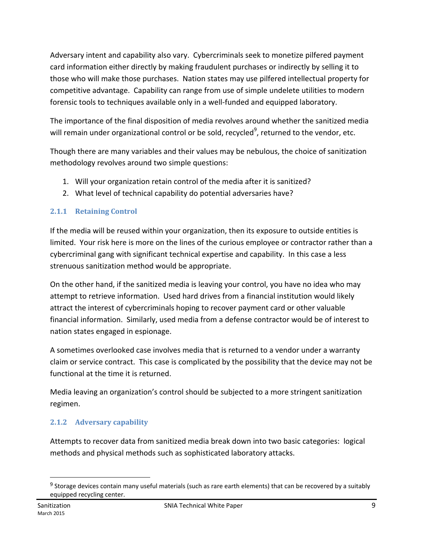Adversary intent and capability also vary. Cybercriminals seek to monetize pilfered payment card information either directly by making fraudulent purchases or indirectly by selling it to those who will make those purchases. Nation states may use pilfered intellectual property for competitive advantage. Capability can range from use of simple undelete utilities to modern forensic tools to techniques available only in a well-funded and equipped laboratory.

The importance of the final disposition of media revolves around whether the sanitized media will remain under organizational control or be sold, recycled<sup>9</sup>, returned to the vendor, etc.

Though there are many variables and their values may be nebulous, the choice of sanitization methodology revolves around two simple questions:

- 1. Will your organization retain control of the media after it is sanitized?
- 2. What level of technical capability do potential adversaries have?

#### **2.1.1 Retaining Control**

If the media will be reused within your organization, then its exposure to outside entities is limited. Your risk here is more on the lines of the curious employee or contractor rather than a cybercriminal gang with significant technical expertise and capability. In this case a less strenuous sanitization method would be appropriate.

On the other hand, if the sanitized media is leaving your control, you have no idea who may attempt to retrieve information. Used hard drives from a financial institution would likely attract the interest of cybercriminals hoping to recover payment card or other valuable financial information. Similarly, used media from a defense contractor would be of interest to nation states engaged in espionage.

A sometimes overlooked case involves media that is returned to a vendor under a warranty claim or service contract. This case is complicated by the possibility that the device may not be functional at the time it is returned.

Media leaving an organization's control should be subjected to a more stringent sanitization regimen.

#### **2.1.2 Adversary capability**

Attempts to recover data from sanitized media break down into two basic categories: logical methods and physical methods such as sophisticated laboratory attacks.

<sup>9</sup> Storage devices contain many useful materials (such as rare earth elements) that can be recovered by a suitably equipped recycling center.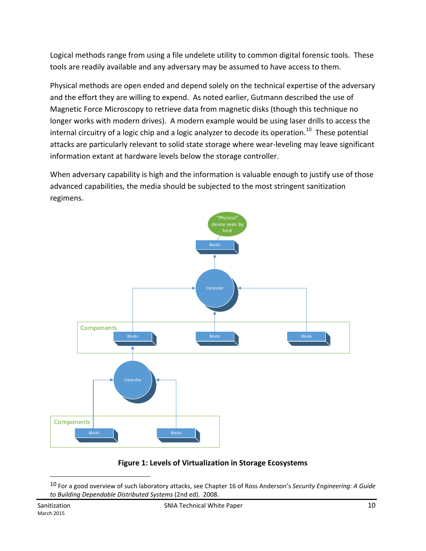Logical methods range from using a file undelete utility to common digital forensic tools. These tools are readily available and any adversary may be assumed to have access to them.

Physical methods are open ended and depend solely on the technical expertise of the adversary and the effort they are willing to expend. As noted earlier, Gutmann described the use of Magnetic Force Microscopy to retrieve data from magnetic disks (though this technique no longer works with modern drives). A modern example would be using laser drills to access the internal circuitry of a logic chip and a logic analyzer to decode its operation.<sup>10</sup> These potential attacks are particularly relevant to solid state storage where wear-leveling may leave significant information extant at hardware levels below the storage controller.

When adversary capability is high and the information is valuable enough to justify use of those advanced capabilities, the media should be subjected to the most stringent sanitization regimens.



#### **Figure 1: Levels of Virtualization in Storage Ecosystems**

<sup>10</sup> For a good overview of such laboratory attacks, see Chapter 16 of Ross Anderson's *Security Engineering: A Guide to Building Dependable Distributed Systems* (2nd ed). 2008.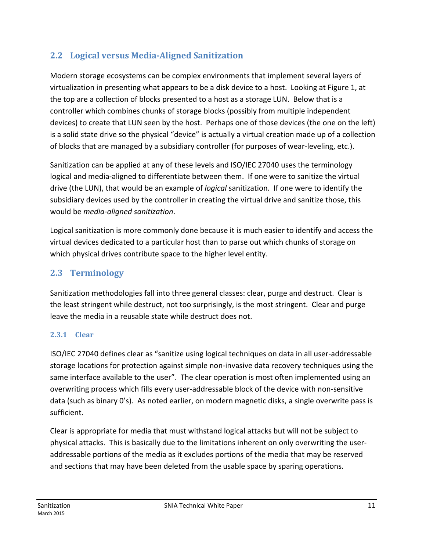## **2.2 Logical versus Media-Aligned Sanitization**

Modern storage ecosystems can be complex environments that implement several layers of virtualization in presenting what appears to be a disk device to a host. Looking at Figure 1, at the top are a collection of blocks presented to a host as a storage LUN. Below that is a controller which combines chunks of storage blocks (possibly from multiple independent devices) to create that LUN seen by the host. Perhaps one of those devices (the one on the left) is a solid state drive so the physical "device" is actually a virtual creation made up of a collection of blocks that are managed by a subsidiary controller (for purposes of wear-leveling, etc.).

Sanitization can be applied at any of these levels and ISO/IEC 27040 uses the terminology logical and media-aligned to differentiate between them. If one were to sanitize the virtual drive (the LUN), that would be an example of *logical* sanitization. If one were to identify the subsidiary devices used by the controller in creating the virtual drive and sanitize those, this would be *media-aligned sanitization*.

Logical sanitization is more commonly done because it is much easier to identify and access the virtual devices dedicated to a particular host than to parse out which chunks of storage on which physical drives contribute space to the higher level entity.

## **2.3 Terminology**

Sanitization methodologies fall into three general classes: clear, purge and destruct. Clear is the least stringent while destruct, not too surprisingly, is the most stringent. Clear and purge leave the media in a reusable state while destruct does not.

#### **2.3.1 Clear**

ISO/IEC 27040 defines clear as "sanitize using logical techniques on data in all user-addressable storage locations for protection against simple non-invasive data recovery techniques using the same interface available to the user". The clear operation is most often implemented using an overwriting process which fills every user-addressable block of the device with non-sensitive data (such as binary 0's). As noted earlier, on modern magnetic disks, a single overwrite pass is sufficient.

Clear is appropriate for media that must withstand logical attacks but will not be subject to physical attacks. This is basically due to the limitations inherent on only overwriting the useraddressable portions of the media as it excludes portions of the media that may be reserved and sections that may have been deleted from the usable space by sparing operations.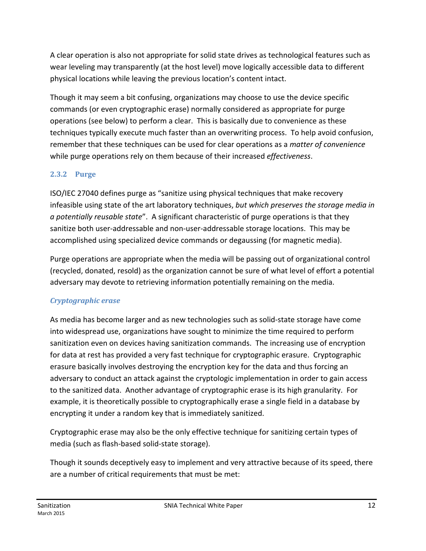A clear operation is also not appropriate for solid state drives as technological features such as wear leveling may transparently (at the host level) move logically accessible data to different physical locations while leaving the previous location's content intact.

Though it may seem a bit confusing, organizations may choose to use the device specific commands (or even cryptographic erase) normally considered as appropriate for purge operations (see below) to perform a clear. This is basically due to convenience as these techniques typically execute much faster than an overwriting process. To help avoid confusion, remember that these techniques can be used for clear operations as a *matter of convenience* while purge operations rely on them because of their increased *effectiveness*.

#### **2.3.2 Purge**

ISO/IEC 27040 defines purge as "sanitize using physical techniques that make recovery infeasible using state of the art laboratory techniques, *but which preserves the storage media in a potentially reusable state*". A significant characteristic of purge operations is that they sanitize both user-addressable and non-user-addressable storage locations. This may be accomplished using specialized device commands or degaussing (for magnetic media).

Purge operations are appropriate when the media will be passing out of organizational control (recycled, donated, resold) as the organization cannot be sure of what level of effort a potential adversary may devote to retrieving information potentially remaining on the media.

#### *Cryptographic erase*

As media has become larger and as new technologies such as solid-state storage have come into widespread use, organizations have sought to minimize the time required to perform sanitization even on devices having sanitization commands. The increasing use of encryption for data at rest has provided a very fast technique for cryptographic erasure. Cryptographic erasure basically involves destroying the encryption key for the data and thus forcing an adversary to conduct an attack against the cryptologic implementation in order to gain access to the sanitized data. Another advantage of cryptographic erase is its high granularity. For example, it is theoretically possible to cryptographically erase a single field in a database by encrypting it under a random key that is immediately sanitized.

Cryptographic erase may also be the only effective technique for sanitizing certain types of media (such as flash-based solid-state storage).

Though it sounds deceptively easy to implement and very attractive because of its speed, there are a number of critical requirements that must be met: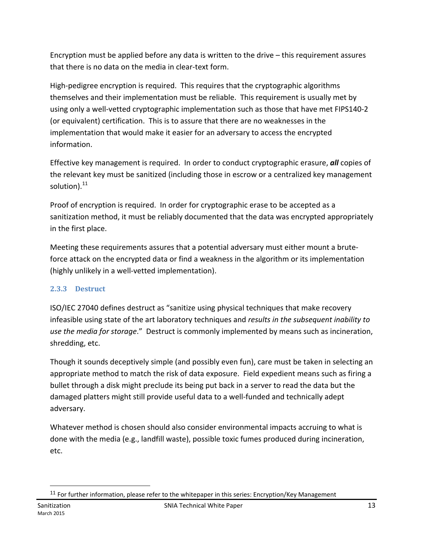Encryption must be applied before any data is written to the drive – this requirement assures that there is no data on the media in clear-text form.

High-pedigree encryption is required. This requires that the cryptographic algorithms themselves and their implementation must be reliable. This requirement is usually met by using only a well-vetted cryptographic implementation such as those that have met FIPS140-2 (or equivalent) certification. This is to assure that there are no weaknesses in the implementation that would make it easier for an adversary to access the encrypted information.

Effective key management is required. In order to conduct cryptographic erasure, *all* copies of the relevant key must be sanitized (including those in escrow or a centralized key management solution).<sup>11</sup>

Proof of encryption is required. In order for cryptographic erase to be accepted as a sanitization method, it must be reliably documented that the data was encrypted appropriately in the first place.

Meeting these requirements assures that a potential adversary must either mount a bruteforce attack on the encrypted data or find a weakness in the algorithm or its implementation (highly unlikely in a well-vetted implementation).

#### **2.3.3 Destruct**

ISO/IEC 27040 defines destruct as "sanitize using physical techniques that make recovery infeasible using state of the art laboratory techniques and *results in the subsequent inability to use the media for storage*." Destruct is commonly implemented by means such as incineration, shredding, etc.

Though it sounds deceptively simple (and possibly even fun), care must be taken in selecting an appropriate method to match the risk of data exposure. Field expedient means such as firing a bullet through a disk might preclude its being put back in a server to read the data but the damaged platters might still provide useful data to a well-funded and technically adept adversary.

Whatever method is chosen should also consider environmental impacts accruing to what is done with the media (e.g., landfill waste), possible toxic fumes produced during incineration, etc.

<sup>&</sup>lt;sup>11</sup> For further information, please refer to the whitepaper in this series: Encryption/Key Management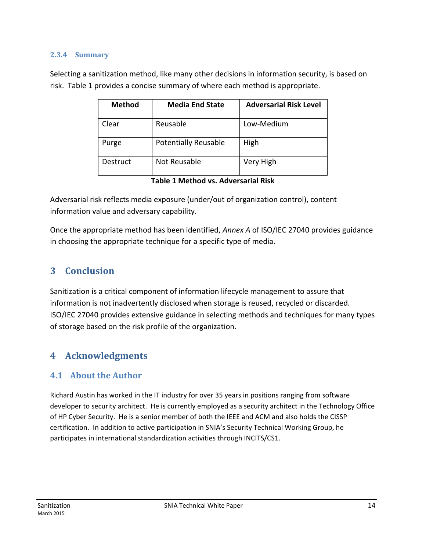#### **2.3.4 Summary**

Selecting a sanitization method, like many other decisions in information security, is based on risk. Table 1 provides a concise summary of where each method is appropriate.

| <b>Method</b> | <b>Media End State</b>      | <b>Adversarial Risk Level</b> |
|---------------|-----------------------------|-------------------------------|
| Clear         | Reusable                    | Low-Medium                    |
| Purge         | <b>Potentially Reusable</b> | High                          |
| Destruct      | Not Reusable                | Very High                     |

|  |  |  | Table 1 Method vs. Adversarial Risk |
|--|--|--|-------------------------------------|
|--|--|--|-------------------------------------|

Adversarial risk reflects media exposure (under/out of organization control), content information value and adversary capability.

Once the appropriate method has been identified, *Annex A* of ISO/IEC 27040 provides guidance in choosing the appropriate technique for a specific type of media.

## **3 Conclusion**

Sanitization is a critical component of information lifecycle management to assure that information is not inadvertently disclosed when storage is reused, recycled or discarded. ISO/IEC 27040 provides extensive guidance in selecting methods and techniques for many types of storage based on the risk profile of the organization.

#### **4 Acknowledgments**

#### **4.1 About the Author**

Richard Austin has worked in the IT industry for over 35 years in positions ranging from software developer to security architect. He is currently employed as a security architect in the Technology Office of HP Cyber Security. He is a senior member of both the IEEE and ACM and also holds the CISSP certification. In addition to active participation in SNIA's Security Technical Working Group, he participates in international standardization activities through INCITS/CS1.